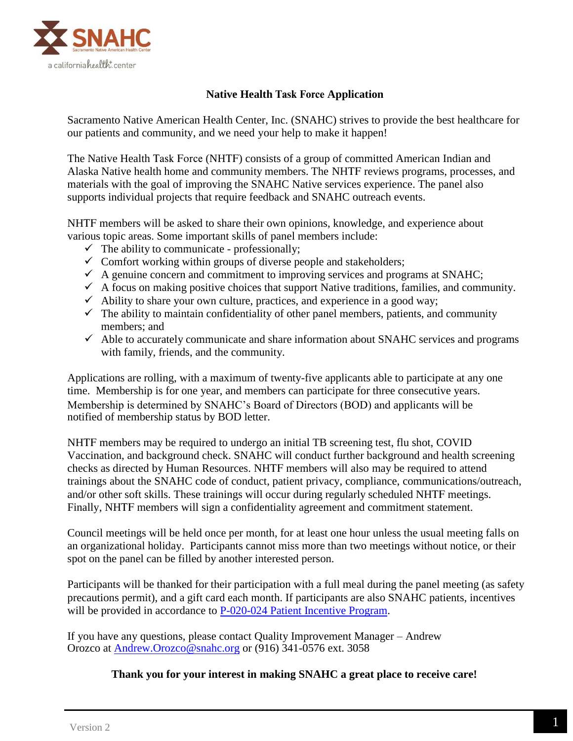

## **Native Health** Task Force **Application**

Sacramento Native American Health Center, Inc. (SNAHC) strives to provide the best healthcare for our patients and community, and we need your help to make it happen!

The Native Health Task Force (NHTF) consists of a group of committed American Indian and Alaska Native health home and community members. The NHTF reviews programs, processes, and materials with the goal of improving the SNAHC Native services experience. The panel also supports individual projects that require feedback and SNAHC outreach events.

NHTF members will be asked to share their own opinions, knowledge, and experience about various topic areas. Some important skills of panel members include:

- $\checkmark$  The ability to communicate professionally;
- $\checkmark$  Comfort working within groups of diverse people and stakeholders;
- $\checkmark$  A genuine concern and commitment to improving services and programs at SNAHC;
- $\checkmark$  A focus on making positive choices that support Native traditions, families, and community.
- $\checkmark$  Ability to share your own culture, practices, and experience in a good way;
- $\checkmark$  The ability to maintain confidentiality of other panel members, patients, and community members; and
- $\checkmark$  Able to accurately communicate and share information about SNAHC services and programs with family, friends, and the community.

Applications are rolling, with a maximum of twenty-five applicants able to participate at any one time. Membership is for one year, and members can participate for three consecutive years. Membership is determined by SNAHC's Board of Directors (BOD) and applicants will be notified of membership status by BOD letter.

NHTF members may be required to undergo an initial TB screening test, flu shot, COVID Vaccination, and background check. SNAHC will conduct further background and health screening checks as directed by Human Resources. NHTF members will also may be required to attend trainings about the SNAHC code of conduct, patient privacy, compliance, communications/outreach, and/or other soft skills. These trainings will occur during regularly scheduled NHTF meetings. Finally, NHTF members will sign a confidentiality agreement and commitment statement.

Council meetings will be held once per month, for at least one hour unless the usual meeting falls on an organizational holiday. Participants cannot miss more than two meetings without notice, or their spot on the panel can be filled by another interested person.

Participants will be thanked for their participation with a full meal during the panel meeting (as safety precautions permit), and a gift card each month. If participants are also SNAHC patients, incentives will be provided in accordance to [P-020-024 Patient Incentive Program.](https://powerdms.com/link/snahc/document/?id=2234779)

If you have any questions, please contact Quality Improvement Manager – Andrew Orozco at [Andrew.Orozco@snahc.org](mailto:Andrew.Orozco@snahc.org) or (916) 341-0576 ext. 3058

## **Thank you for your interest in making SNAHC a great place to receive care!**